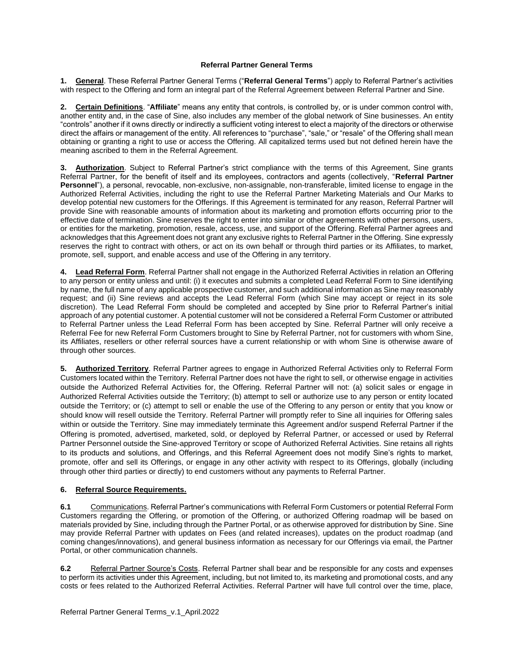## **Referral Partner General Terms**

**1. General**. These Referral Partner General Terms ("**Referral General Terms**") apply to Referral Partner's activities with respect to the Offering and form an integral part of the Referral Agreement between Referral Partner and Sine.

**2. Certain Definitions**. "**Affiliate**" means any entity that controls, is controlled by, or is under common control with, another entity and, in the case of Sine, also includes any member of the global network of Sine businesses. An entity "controls" another if it owns directly or indirectly a sufficient voting interest to elect a majority of the directors or otherwise direct the affairs or management of the entity. All references to "purchase", "sale," or "resale" of the Offering shall mean obtaining or granting a right to use or access the Offering. All capitalized terms used but not defined herein have the meaning ascribed to them in the Referral Agreement.

**3. Authorization**. Subject to Referral Partner's strict compliance with the terms of this Agreement, Sine grants Referral Partner, for the benefit of itself and its employees, contractors and agents (collectively, "**Referral Partner Personnel**"), a personal, revocable, non-exclusive, non-assignable, non-transferable, limited license to engage in the Authorized Referral Activities, including the right to use the Referral Partner Marketing Materials and Our Marks to develop potential new customers for the Offerings. If this Agreement is terminated for any reason, Referral Partner will provide Sine with reasonable amounts of information about its marketing and promotion efforts occurring prior to the effective date of termination. Sine reserves the right to enter into similar or other agreements with other persons, users, or entities for the marketing, promotion, resale, access, use, and support of the Offering. Referral Partner agrees and acknowledges that this Agreement does not grant any exclusive rights to Referral Partner in the Offering. Sine expressly reserves the right to contract with others, or act on its own behalf or through third parties or its Affiliates, to market, promote, sell, support, and enable access and use of the Offering in any territory.

**4. Lead Referral Form**. Referral Partner shall not engage in the Authorized Referral Activities in relation an Offering to any person or entity unless and until: (i) it executes and submits a completed Lead Referral Form to Sine identifying by name, the full name of any applicable prospective customer, and such additional information as Sine may reasonably request; and (ii) Sine reviews and accepts the Lead Referral Form (which Sine may accept or reject in its sole discretion). The Lead Referral Form should be completed and accepted by Sine prior to Referral Partner's initial approach of any potential customer. A potential customer will not be considered a Referral Form Customer or attributed to Referral Partner unless the Lead Referral Form has been accepted by Sine. Referral Partner will only receive a Referral Fee for new Referral Form Customers brought to Sine by Referral Partner, not for customers with whom Sine, its Affiliates, resellers or other referral sources have a current relationship or with whom Sine is otherwise aware of through other sources.

**5. Authorized Territory**. Referral Partner agrees to engage in Authorized Referral Activities only to Referral Form Customers located within the Territory. Referral Partner does not have the right to sell, or otherwise engage in activities outside the Authorized Referral Activities for, the Offering. Referral Partner will not: (a) solicit sales or engage in Authorized Referral Activities outside the Territory; (b) attempt to sell or authorize use to any person or entity located outside the Territory; or (c) attempt to sell or enable the use of the Offering to any person or entity that you know or should know will resell outside the Territory. Referral Partner will promptly refer to Sine all inquiries for Offering sales within or outside the Territory. Sine may immediately terminate this Agreement and/or suspend Referral Partner if the Offering is promoted, advertised, marketed, sold, or deployed by Referral Partner, or accessed or used by Referral Partner Personnel outside the Sine-approved Territory or scope of Authorized Referral Activities. Sine retains all rights to its products and solutions, and Offerings, and this Referral Agreement does not modify Sine's rights to market, promote, offer and sell its Offerings, or engage in any other activity with respect to its Offerings, globally (including through other third parties or directly) to end customers without any payments to Referral Partner.

## **6. Referral Source Requirements.**

**6.1** Communications. Referral Partner's communications with Referral Form Customers or potential Referral Form Customers regarding the Offering, or promotion of the Offering, or authorized Offering roadmap will be based on materials provided by Sine, including through the Partner Portal, or as otherwise approved for distribution by Sine. Sine may provide Referral Partner with updates on Fees (and related increases), updates on the product roadmap (and coming changes/innovations), and general business information as necessary for our Offerings via email, the Partner Portal, or other communication channels.

**6.2** Referral Partner Source's Costs. Referral Partner shall bear and be responsible for any costs and expenses to perform its activities under this Agreement, including, but not limited to, its marketing and promotional costs, and any costs or fees related to the Authorized Referral Activities. Referral Partner will have full control over the time, place,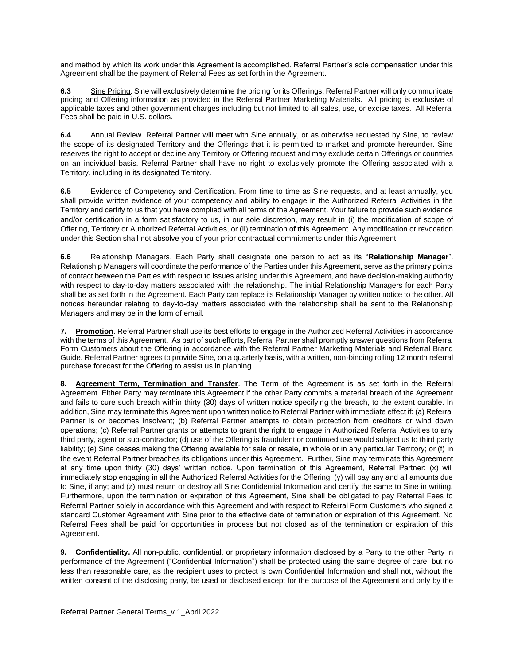and method by which its work under this Agreement is accomplished. Referral Partner's sole compensation under this Agreement shall be the payment of Referral Fees as set forth in the Agreement.

**6.3** Sine Pricing. Sine will exclusively determine the pricing for its Offerings. Referral Partner will only communicate pricing and Offering information as provided in the Referral Partner Marketing Materials. All pricing is exclusive of applicable taxes and other government charges including but not limited to all sales, use, or excise taxes. All Referral Fees shall be paid in U.S. dollars.

**6.4** Annual Review. Referral Partner will meet with Sine annually, or as otherwise requested by Sine, to review the scope of its designated Territory and the Offerings that it is permitted to market and promote hereunder. Sine reserves the right to accept or decline any Territory or Offering request and may exclude certain Offerings or countries on an individual basis. Referral Partner shall have no right to exclusively promote the Offering associated with a Territory, including in its designated Territory.

**6.5** Evidence of Competency and Certification. From time to time as Sine requests, and at least annually, you shall provide written evidence of your competency and ability to engage in the Authorized Referral Activities in the Territory and certify to us that you have complied with all terms of the Agreement. Your failure to provide such evidence and/or certification in a form satisfactory to us, in our sole discretion, may result in (i) the modification of scope of Offering, Territory or Authorized Referral Activities, or (ii) termination of this Agreement. Any modification or revocation under this Section shall not absolve you of your prior contractual commitments under this Agreement.

**6.6** Relationship Managers. Each Party shall designate one person to act as its "**Relationship Manager**". Relationship Managers will coordinate the performance of the Parties under this Agreement, serve as the primary points of contact between the Parties with respect to issues arising under this Agreement, and have decision-making authority with respect to day-to-day matters associated with the relationship. The initial Relationship Managers for each Party shall be as set forth in the Agreement. Each Party can replace its Relationship Manager by written notice to the other. All notices hereunder relating to day-to-day matters associated with the relationship shall be sent to the Relationship Managers and may be in the form of email.

**7. Promotion**. Referral Partner shall use its best efforts to engage in the Authorized Referral Activities in accordance with the terms of this Agreement. As part of such efforts, Referral Partner shall promptly answer questions from Referral Form Customers about the Offering in accordance with the Referral Partner Marketing Materials and Referral Brand Guide. Referral Partner agrees to provide Sine, on a quarterly basis, with a written, non-binding rolling 12 month referral purchase forecast for the Offering to assist us in planning.

**8. Agreement Term, Termination and Transfer**. The Term of the Agreement is as set forth in the Referral Agreement. Either Party may terminate this Agreement if the other Party commits a material breach of the Agreement and fails to cure such breach within thirty (30) days of written notice specifying the breach, to the extent curable. In addition, Sine may terminate this Agreement upon written notice to Referral Partner with immediate effect if: (a) Referral Partner is or becomes insolvent; (b) Referral Partner attempts to obtain protection from creditors or wind down operations; (c) Referral Partner grants or attempts to grant the right to engage in Authorized Referral Activities to any third party, agent or sub-contractor; (d) use of the Offering is fraudulent or continued use would subject us to third party liability; (e) Sine ceases making the Offering available for sale or resale, in whole or in any particular Territory; or (f) in the event Referral Partner breaches its obligations under this Agreement. Further, Sine may terminate this Agreement at any time upon thirty (30) days' written notice. Upon termination of this Agreement, Referral Partner: (x) will immediately stop engaging in all the Authorized Referral Activities for the Offering; (y) will pay any and all amounts due to Sine, if any; and (z) must return or destroy all Sine Confidential Information and certify the same to Sine in writing. Furthermore, upon the termination or expiration of this Agreement, Sine shall be obligated to pay Referral Fees to Referral Partner solely in accordance with this Agreement and with respect to Referral Form Customers who signed a standard Customer Agreement with Sine prior to the effective date of termination or expiration of this Agreement. No Referral Fees shall be paid for opportunities in process but not closed as of the termination or expiration of this Agreement.

**9. Confidentiality.** All non-public, confidential, or proprietary information disclosed by a Party to the other Party in performance of the Agreement ("Confidential Information") shall be protected using the same degree of care, but no less than reasonable care, as the recipient uses to protect is own Confidential Information and shall not, without the written consent of the disclosing party, be used or disclosed except for the purpose of the Agreement and only by the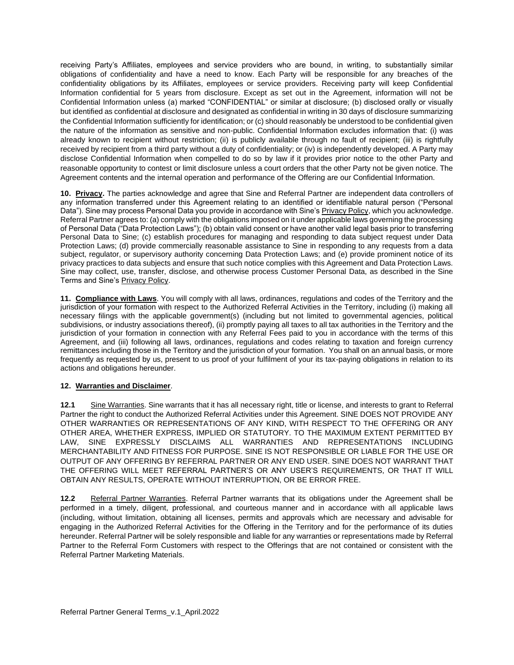receiving Party's Affiliates, employees and service providers who are bound, in writing, to substantially similar obligations of confidentiality and have a need to know. Each Party will be responsible for any breaches of the confidentiality obligations by its Affiliates, employees or service providers. Receiving party will keep Confidential Information confidential for 5 years from disclosure. Except as set out in the Agreement, information will not be Confidential Information unless (a) marked "CONFIDENTIAL" or similar at disclosure; (b) disclosed orally or visually but identified as confidential at disclosure and designated as confidential in writing in 30 days of disclosure summarizing the Confidential Information sufficiently for identification; or (c) should reasonably be understood to be confidential given the nature of the information as sensitive and non-public. Confidential Information excludes information that: (i) was already known to recipient without restriction; (ii) is publicly available through no fault of recipient; (iii) is rightfully received by recipient from a third party without a duty of confidentiality; or (iv) is independently developed. A Party may disclose Confidential Information when compelled to do so by law if it provides prior notice to the other Party and reasonable opportunity to contest or limit disclosure unless a court orders that the other Party not be given notice. The Agreement contents and the internal operation and performance of the Offering are our Confidential Information.

**10. Privacy.** The parties acknowledge and agree that Sine and Referral Partner are independent data controllers of any information transferred under this Agreement relating to an identified or identifiable natural person ("Personal Data"). Sine may process Personal Data you provide in accordance with Sine's Privacy Policy, which you acknowledge. Referral Partner agrees to: (a) comply with the obligations imposed on it under applicable laws governing the processing of Personal Data ("Data Protection Laws"); (b) obtain valid consent or have another valid legal basis prior to transferring Personal Data to Sine; (c) establish procedures for managing and responding to data subject request under Data Protection Laws; (d) provide commercially reasonable assistance to Sine in responding to any requests from a data subject, regulator, or supervisory authority concerning Data Protection Laws; and (e) provide prominent notice of its privacy practices to data subjects and ensure that such notice complies with this Agreement and Data Protection Laws. Sine may collect, use, transfer, disclose, and otherwise process Customer Personal Data, as described in the Sine Terms and Sine's Privacy Policy.

**11. Compliance with Laws**. You will comply with all laws, ordinances, regulations and codes of the Territory and the jurisdiction of your formation with respect to the Authorized Referral Activities in the Territory, including (i) making all necessary filings with the applicable government(s) (including but not limited to governmental agencies, political subdivisions, or industry associations thereof), (ii) promptly paying all taxes to all tax authorities in the Territory and the jurisdiction of your formation in connection with any Referral Fees paid to you in accordance with the terms of this Agreement, and (iii) following all laws, ordinances, regulations and codes relating to taxation and foreign currency remittances including those in the Territory and the jurisdiction of your formation. You shall on an annual basis, or more frequently as requested by us, present to us proof of your fulfilment of your its tax-paying obligations in relation to its actions and obligations hereunder.

## **12. Warranties and Disclaimer**.

**12.1** Sine Warranties. Sine warrants that it has all necessary right, title or license, and interests to grant to Referral Partner the right to conduct the Authorized Referral Activities under this Agreement. SINE DOES NOT PROVIDE ANY OTHER WARRANTIES OR REPRESENTATIONS OF ANY KIND, WITH RESPECT TO THE OFFERING OR ANY OTHER AREA, WHETHER EXPRESS, IMPLIED OR STATUTORY. TO THE MAXIMUM EXTENT PERMITTED BY LAW, SINE EXPRESSLY DISCLAIMS ALL WARRANTIES AND REPRESENTATIONS INCLUDING MERCHANTABILITY AND FITNESS FOR PURPOSE. SINE IS NOT RESPONSIBLE OR LIABLE FOR THE USE OR OUTPUT OF ANY OFFERING BY REFERRAL PARTNER OR ANY END USER. SINE DOES NOT WARRANT THAT THE OFFERING WILL MEET REFERRAL PARTNER'S OR ANY USER'S REQUIREMENTS, OR THAT IT WILL OBTAIN ANY RESULTS, OPERATE WITHOUT INTERRUPTION, OR BE ERROR FREE.

**12.2** Referral Partner Warranties. Referral Partner warrants that its obligations under the Agreement shall be performed in a timely, diligent, professional, and courteous manner and in accordance with all applicable laws (including, without limitation, obtaining all licenses, permits and approvals which are necessary and advisable for engaging in the Authorized Referral Activities for the Offering in the Territory and for the performance of its duties hereunder. Referral Partner will be solely responsible and liable for any warranties or representations made by Referral Partner to the Referral Form Customers with respect to the Offerings that are not contained or consistent with the Referral Partner Marketing Materials.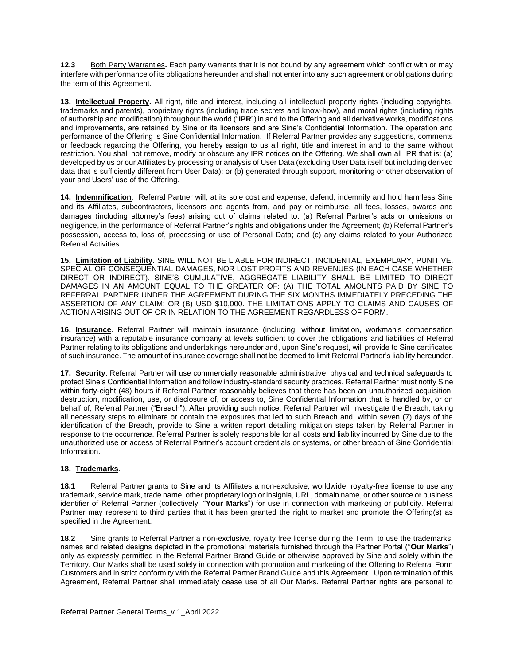**12.3** Both Party Warranties**.** Each party warrants that it is not bound by any agreement which conflict with or may interfere with performance of its obligations hereunder and shall not enter into any such agreement or obligations during the term of this Agreement.

**13. Intellectual Property.** All right, title and interest, including all intellectual property rights (including copyrights, trademarks and patents), proprietary rights (including trade secrets and know-how), and moral rights (including rights of authorship and modification) throughout the world ("**IPR**") in and to the Offering and all derivative works, modifications and improvements, are retained by Sine or its licensors and are Sine's Confidential Information. The operation and performance of the Offering is Sine Confidential Information. If Referral Partner provides any suggestions, comments or feedback regarding the Offering, you hereby assign to us all right, title and interest in and to the same without restriction. You shall not remove, modify or obscure any IPR notices on the Offering. We shall own all IPR that is: (a) developed by us or our Affiliates by processing or analysis of User Data (excluding User Data itself but including derived data that is sufficiently different from User Data); or (b) generated through support, monitoring or other observation of your and Users' use of the Offering.

**14. Indemnification**. Referral Partner will, at its sole cost and expense, defend, indemnify and hold harmless Sine and its Affiliates, subcontractors, licensors and agents from, and pay or reimburse, all fees, losses, awards and damages (including attorney's fees) arising out of claims related to: (a) Referral Partner's acts or omissions or negligence, in the performance of Referral Partner's rights and obligations under the Agreement; (b) Referral Partner's possession, access to, loss of, processing or use of Personal Data; and (c) any claims related to your Authorized Referral Activities.

**15. Limitation of Liability**. SINE WILL NOT BE LIABLE FOR INDIRECT, INCIDENTAL, EXEMPLARY, PUNITIVE, SPECIAL OR CONSEQUENTIAL DAMAGES, NOR LOST PROFITS AND REVENUES (IN EACH CASE WHETHER DIRECT OR INDIRECT). SINE'S CUMULATIVE, AGGREGATE LIABILITY SHALL BE LIMITED TO DIRECT DAMAGES IN AN AMOUNT EQUAL TO THE GREATER OF: (A) THE TOTAL AMOUNTS PAID BY SINE TO REFERRAL PARTNER UNDER THE AGREEMENT DURING THE SIX MONTHS IMMEDIATELY PRECEDING THE ASSERTION OF ANY CLAIM; OR (B) USD \$10,000. THE LIMITATIONS APPLY TO CLAIMS AND CAUSES OF ACTION ARISING OUT OF OR IN RELATION TO THE AGREEMENT REGARDLESS OF FORM.

**16. Insurance**. Referral Partner will maintain insurance (including, without limitation, workman's compensation insurance) with a reputable insurance company at levels sufficient to cover the obligations and liabilities of Referral Partner relating to its obligations and undertakings hereunder and, upon Sine's request, will provide to Sine certificates of such insurance. The amount of insurance coverage shall not be deemed to limit Referral Partner's liability hereunder.

**17. Security**. Referral Partner will use commercially reasonable administrative, physical and technical safeguards to protect Sine's Confidential Information and follow industry-standard security practices. Referral Partner must notify Sine within forty-eight (48) hours if Referral Partner reasonably believes that there has been an unauthorized acquisition, destruction, modification, use, or disclosure of, or access to, Sine Confidential Information that is handled by, or on behalf of, Referral Partner ("Breach"). After providing such notice, Referral Partner will investigate the Breach, taking all necessary steps to eliminate or contain the exposures that led to such Breach and, within seven (7) days of the identification of the Breach, provide to Sine a written report detailing mitigation steps taken by Referral Partner in response to the occurrence. Referral Partner is solely responsible for all costs and liability incurred by Sine due to the unauthorized use or access of Referral Partner's account credentials or systems, or other breach of Sine Confidential Information.

## **18. Trademarks**.

**18.1** Referral Partner grants to Sine and its Affiliates a non-exclusive, worldwide, royalty-free license to use any trademark, service mark, trade name, other proprietary logo or insignia, URL, domain name, or other source or business identifier of Referral Partner (collectively, "**Your Marks**") for use in connection with marketing or publicity. Referral Partner may represent to third parties that it has been granted the right to market and promote the Offering(s) as specified in the Agreement.

**18.2** Sine grants to Referral Partner a non-exclusive, royalty free license during the Term, to use the trademarks, names and related designs depicted in the promotional materials furnished through the Partner Portal ("**Our Marks**") only as expressly permitted in the Referral Partner Brand Guide or otherwise approved by Sine and solely within the Territory. Our Marks shall be used solely in connection with promotion and marketing of the Offering to Referral Form Customers and in strict conformity with the Referral Partner Brand Guide and this Agreement. Upon termination of this Agreement, Referral Partner shall immediately cease use of all Our Marks. Referral Partner rights are personal to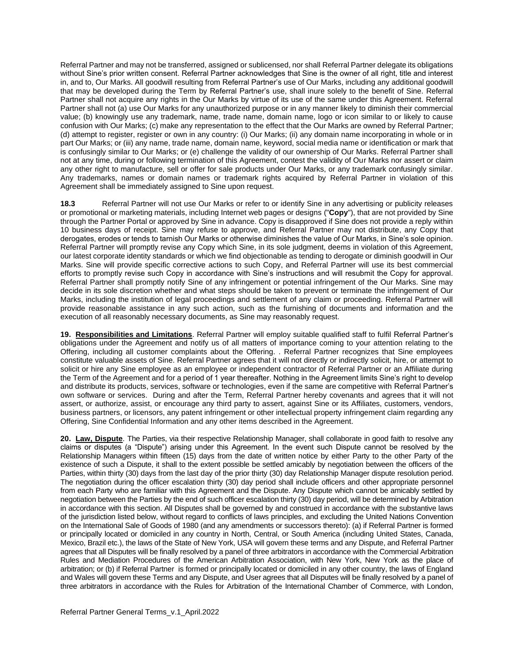Referral Partner and may not be transferred, assigned or sublicensed, nor shall Referral Partner delegate its obligations without Sine's prior written consent. Referral Partner acknowledges that Sine is the owner of all right, title and interest in, and to, Our Marks. All goodwill resulting from Referral Partner's use of Our Marks, including any additional goodwill that may be developed during the Term by Referral Partner's use, shall inure solely to the benefit of Sine. Referral Partner shall not acquire any rights in the Our Marks by virtue of its use of the same under this Agreement. Referral Partner shall not (a) use Our Marks for any unauthorized purpose or in any manner likely to diminish their commercial value; (b) knowingly use any trademark, name, trade name, domain name, logo or icon similar to or likely to cause confusion with Our Marks; (c) make any representation to the effect that the Our Marks are owned by Referral Partner; (d) attempt to register, register or own in any country: (i) Our Marks; (ii) any domain name incorporating in whole or in part Our Marks; or (iii) any name, trade name, domain name, keyword, social media name or identification or mark that is confusingly similar to Our Marks; or (e) challenge the validity of our ownership of Our Marks. Referral Partner shall not at any time, during or following termination of this Agreement, contest the validity of Our Marks nor assert or claim any other right to manufacture, sell or offer for sale products under Our Marks, or any trademark confusingly similar. Any trademarks, names or domain names or trademark rights acquired by Referral Partner in violation of this Agreement shall be immediately assigned to Sine upon request.

**18.3** Referral Partner will not use Our Marks or refer to or identify Sine in any advertising or publicity releases or promotional or marketing materials, including Internet web pages or designs ("**Copy**"), that are not provided by Sine through the Partner Portal or approved by Sine in advance. Copy is disapproved if Sine does not provide a reply within 10 business days of receipt. Sine may refuse to approve, and Referral Partner may not distribute, any Copy that derogates, erodes or tends to tarnish Our Marks or otherwise diminishes the value of Our Marks, in Sine's sole opinion. Referral Partner will promptly revise any Copy which Sine, in its sole judgment, deems in violation of this Agreement, our latest corporate identity standards or which we find objectionable as tending to derogate or diminish goodwill in Our Marks. Sine will provide specific corrective actions to such Copy, and Referral Partner will use its best commercial efforts to promptly revise such Copy in accordance with Sine's instructions and will resubmit the Copy for approval. Referral Partner shall promptly notify Sine of any infringement or potential infringement of the Our Marks. Sine may decide in its sole discretion whether and what steps should be taken to prevent or terminate the infringement of Our Marks, including the institution of legal proceedings and settlement of any claim or proceeding. Referral Partner will provide reasonable assistance in any such action, such as the furnishing of documents and information and the execution of all reasonably necessary documents, as Sine may reasonably request.

**19. Responsibilities and Limitations**. Referral Partner will employ suitable qualified staff to fulfil Referral Partner's obligations under the Agreement and notify us of all matters of importance coming to your attention relating to the Offering, including all customer complaints about the Offering. . Referral Partner recognizes that Sine employees constitute valuable assets of Sine. Referral Partner agrees that it will not directly or indirectly solicit, hire, or attempt to solicit or hire any Sine employee as an employee or independent contractor of Referral Partner or an Affiliate during the Term of the Agreement and for a period of 1 year thereafter. Nothing in the Agreement limits Sine's right to develop and distribute its products, services, software or technologies, even if the same are competitive with Referral Partner's own software or services. During and after the Term, Referral Partner hereby covenants and agrees that it will not assert, or authorize, assist, or encourage any third party to assert, against Sine or its Affiliates, customers, vendors, business partners, or licensors, any patent infringement or other intellectual property infringement claim regarding any Offering, Sine Confidential Information and any other items described in the Agreement.

**20. Law, Dispute**. The Parties, via their respective Relationship Manager, shall collaborate in good faith to resolve any claims or disputes (a "Dispute") arising under this Agreement. In the event such Dispute cannot be resolved by the Relationship Managers within fifteen (15) days from the date of written notice by either Party to the other Party of the existence of such a Dispute, it shall to the extent possible be settled amicably by negotiation between the officers of the Parties, within thirty (30) days from the last day of the prior thirty (30) day Relationship Manager dispute resolution period. The negotiation during the officer escalation thirty (30) day period shall include officers and other appropriate personnel from each Party who are familiar with this Agreement and the Dispute. Any Dispute which cannot be amicably settled by negotiation between the Parties by the end of such officer escalation thirty (30) day period, will be determined by Arbitration in accordance with this section. All Disputes shall be governed by and construed in accordance with the substantive laws of the jurisdiction listed below, without regard to conflicts of laws principles, and excluding the United Nations Convention on the International Sale of Goods of 1980 (and any amendments or successors thereto): (a) if Referral Partner is formed or principally located or domiciled in any country in North, Central, or South America (including United States, Canada, Mexico, Brazil etc.), the laws of the State of New York, USA will govern these terms and any Dispute, and Referral Partner agrees that all Disputes will be finally resolved by a panel of three arbitrators in accordance with the Commercial Arbitration Rules and Mediation Procedures of the American Arbitration Association, with New York, New York as the place of arbitration; or (b) if Referral Partner is formed or principally located or domiciled in any other country, the laws of England and Wales will govern these Terms and any Dispute, and User agrees that all Disputes will be finally resolved by a panel of three arbitrators in accordance with the Rules for Arbitration of the International Chamber of Commerce, with London,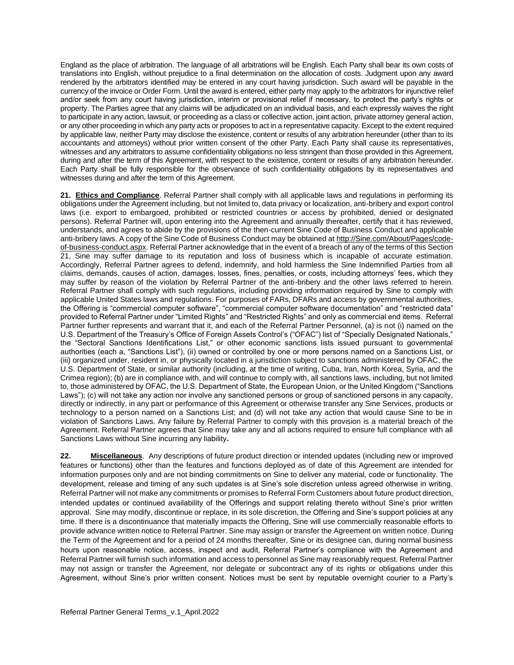England as the place of arbitration. The language of all arbitrations will be English. Each Party shall bear its own costs of translations into English, without prejudice to a final determination on the allocation of costs. Judgment upon any award rendered by the arbitrators identified may be entered in any court having jurisdiction. Such award will be payable in the currency of the invoice or Order Form. Until the award is entered, either party may apply to the arbitrators for injunctive relief and/or seek from any court having jurisdiction, interim or provisional relief if necessary, to protect the party's rights or property. The Parties agree that any claims will be adjudicated on an individual basis, and each expressly waives the right to participate in any action, lawsuit, or proceeding as a class or collective action, joint action, private attorney general action, or any other proceeding in which any party acts or proposes to act in a representative capacity. Except to the extent required by applicable law, neither Party may disclose the existence, content or results of any arbitration hereunder (other than to its accountants and attorneys) without prior written consent of the other Party. Each Party shall cause its representatives, witnesses and any arbitrators to assume confidentiality obligations no less stringent than those provided in this Agreement, during and after the term of this Agreement, with respect to the existence, content or results of any arbitration hereunder. Each Party shall be fully responsible for the observance of such confidentiality obligations by its representatives and witnesses during and after the term of this Agreement.

**21. Ethics and Compliance**. Referral Partner shall comply with all applicable laws and regulations in performing its obligations under the Agreement including, but not limited to, data privacy or localization, anti-bribery and export control laws (i.e. export to embargoed, prohibited or restricted countries or access by prohibited, denied or designated persons). Referral Partner will, upon entering into the Agreement and annually thereafter, certify that it has reviewed, understands, and agrees to abide by the provisions of the then-current Sine Code of Business Conduct and applicable anti-bribery laws. A copy of the Sine Code of Business Conduct may be obtained at http://Sine.com/About/Pages/codeof-business-conduct.aspx. Referral Partner acknowledge that in the event of a breach of any of the terms of this Section 21, Sine may suffer damage to its reputation and loss of business which is incapable of accurate estimation. Accordingly, Referral Partner agrees to defend, indemnify, and hold harmless the Sine Indemnified Parties from all claims, demands, causes of action, damages, losses, fines, penalties, or costs, including attorneys' fees, which they may suffer by reason of the violation by Referral Partner of the anti-bribery and the other laws referred to herein. Referral Partner shall comply with such regulations, including providing information required by Sine to comply with applicable United States laws and regulations. For purposes of FARs, DFARs and access by governmental authorities, the Offering is "commercial computer software", "commercial computer software documentation" and "restricted data" provided to Referral Partner under "Limited Rights" and "Restricted Rights" and only as commercial end items. Referral Partner further represents and warrant that it, and each of the Referral Partner Personnel, (a) is not (i) named on the U.S. Department of the Treasury's Office of Foreign Assets Control's ("OFAC") list of "Specially Designated Nationals," the "Sectoral Sanctions Identifications List," or other economic sanctions lists issued pursuant to governmental authorities (each a, "Sanctions List"), (ii) owned or controlled by one or more persons named on a Sanctions List, or (iii) organized under, resident in, or physically located in a jurisdiction subject to sanctions administered by OFAC, the U.S. Department of State, or similar authority (including, at the time of writing, Cuba, Iran, North Korea, Syria, and the Crimea region); (b) are in compliance with, and will continue to comply with, all sanctions laws, including, but not limited to, those administered by OFAC, the U.S. Department of State, the European Union, or the United Kingdom ("Sanctions Laws"); (c) will not take any action nor involve any sanctioned persons or group of sanctioned persons in any capacity, directly or indirectly, in any part or performance of this Agreement or otherwise transfer any Sine Services, products or technology to a person named on a Sanctions List; and (d) will not take any action that would cause Sine to be in violation of Sanctions Laws. Any failure by Referral Partner to comply with this provision is a material breach of the Agreement. Referral Partner agrees that Sine may take any and all actions required to ensure full compliance with all Sanctions Laws without Sine incurring any liability**.**

**22. Miscellaneous**. Any descriptions of future product direction or intended updates (including new or improved features or functions) other than the features and functions deployed as of date of this Agreement are intended for information purposes only and are not binding commitments on Sine to deliver any material, code or functionality. The development, release and timing of any such updates is at Sine's sole discretion unless agreed otherwise in writing. Referral Partner will not make any commitments or promises to Referral Form Customers about future product direction, intended updates or continued availability of the Offerings and support relating thereto without Sine's prior written approval. Sine may modify, discontinue or replace, in its sole discretion, the Offering and Sine's support policies at any time. If there is a discontinuance that materially impacts the Offering, Sine will use commercially reasonable efforts to provide advance written notice to Referral Partner. Sine may assign or transfer the Agreement on written notice. During the Term of the Agreement and for a period of 24 months thereafter, Sine or its designee can, during normal business hours upon reasonable notice, access, inspect and audit, Referral Partner's compliance with the Agreement and Referral Partner will furnish such information and access to personnel as Sine may reasonably request. Referral Partner may not assign or transfer the Agreement, nor delegate or subcontract any of its rights or obligations under this Agreement, without Sine's prior written consent. Notices must be sent by reputable overnight courier to a Party's